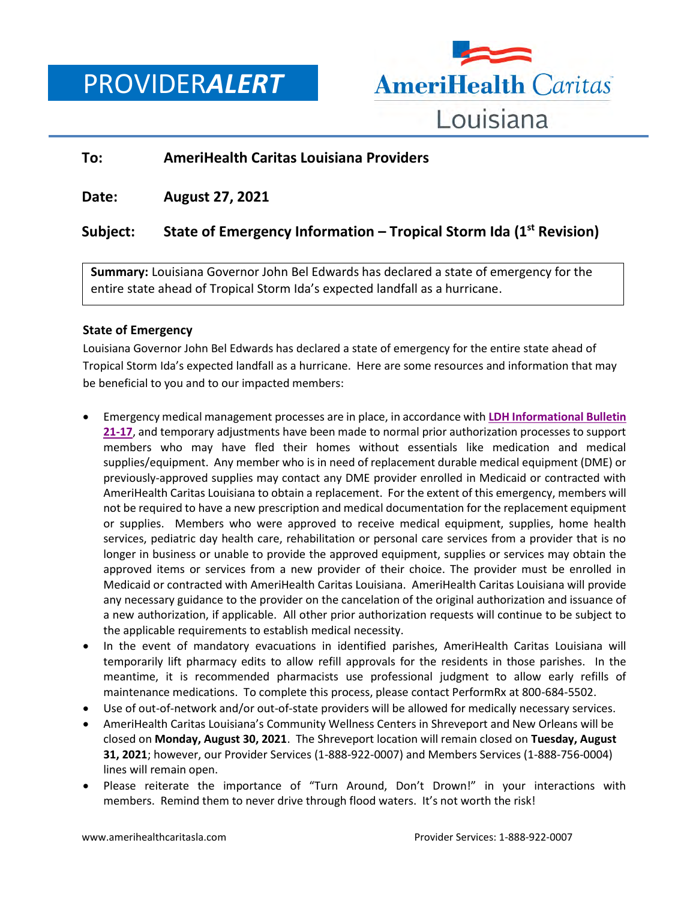PROVIDER*ALERT*



## **To: AmeriHealth Caritas Louisiana Providers**

**Date: August 27, 2021**

# **Subject: State of Emergency Information – Tropical Storm Ida (1st Revision)**

**Summary:** Louisiana Governor John Bel Edwards has declared a state of emergency for the entire state ahead of Tropical Storm Ida's expected landfall as a hurricane.

### **State of Emergency**

Louisiana Governor John Bel Edwards has declared a state of emergency for the entire state ahead of Tropical Storm Ida's expected landfall as a hurricane. Here are some resources and information that may be beneficial to you and to our impacted members:

- Emergency medical management processes are in place, in accordance with **[LDH Informational Bulletin](https://ldh.la.gov/index.cfm/page/4254)  [21-17](https://ldh.la.gov/index.cfm/page/4254)**, and temporary adjustments have been made to normal prior authorization processes to support members who may have fled their homes without essentials like medication and medical supplies/equipment. Any member who is in need of replacement durable medical equipment (DME) or previously-approved supplies may contact any DME provider enrolled in Medicaid or contracted with AmeriHealth Caritas Louisiana to obtain a replacement. For the extent of this emergency, members will not be required to have a new prescription and medical documentation for the replacement equipment or supplies. Members who were approved to receive medical equipment, supplies, home health services, pediatric day health care, rehabilitation or personal care services from a provider that is no longer in business or unable to provide the approved equipment, supplies or services may obtain the approved items or services from a new provider of their choice. The provider must be enrolled in Medicaid or contracted with AmeriHealth Caritas Louisiana. AmeriHealth Caritas Louisiana will provide any necessary guidance to the provider on the cancelation of the original authorization and issuance of a new authorization, if applicable. All other prior authorization requests will continue to be subject to the applicable requirements to establish medical necessity.
- In the event of mandatory evacuations in identified parishes, AmeriHealth Caritas Louisiana will temporarily lift pharmacy edits to allow refill approvals for the residents in those parishes. In the meantime, it is recommended pharmacists use professional judgment to allow early refills of maintenance medications. To complete this process, please contact PerformRx at 800-684-5502.
- Use of out-of-network and/or out-of-state providers will be allowed for medically necessary services.
- AmeriHealth Caritas Louisiana's Community Wellness Centers in Shreveport and New Orleans will be closed on **Monday, August 30, 2021**. The Shreveport location will remain closed on **Tuesday, August 31, 2021**; however, our Provider Services (1-888-922-0007) and Members Services (1-888-756-0004) lines will remain open.
- Please reiterate the importance of "Turn Around, Don't Drown!" in your interactions with members. Remind them to never drive through flood waters. It's not worth the risk!